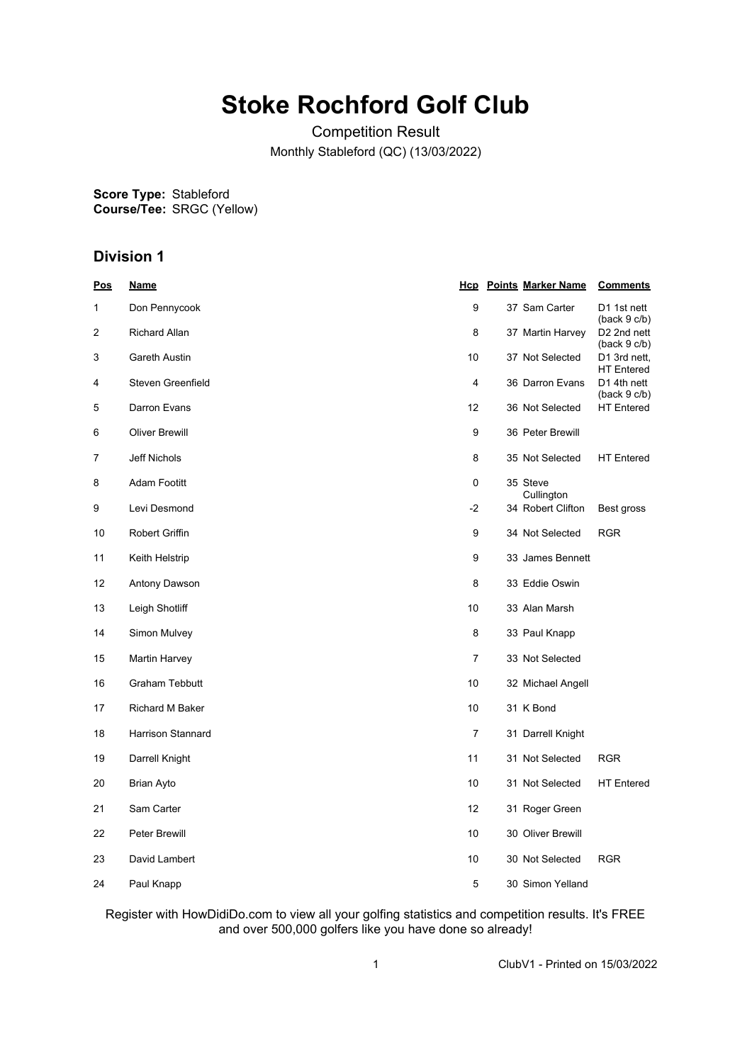# **Stoke Rochford Golf Club**

Competition Result Monthly Stableford (QC) (13/03/2022)

**Score Type: Course/Tee:** Stableford SRGC (Yellow)

## **Division 1**

| <u>Pos</u> | <u>Name</u>              |                | <b>Hcp</b> Points Marker Name | <b>Comments</b>                         |
|------------|--------------------------|----------------|-------------------------------|-----------------------------------------|
| 1          | Don Pennycook            | 9              | 37 Sam Carter                 | D1 1st nett<br>(back 9 c/b)             |
| 2          | <b>Richard Allan</b>     | 8              | 37 Martin Harvey              | D <sub>2</sub> 2nd nett<br>(back 9 c/b) |
| 3          | Gareth Austin            | 10             | 37 Not Selected               | D1 3rd nett,<br><b>HT Entered</b>       |
| 4          | Steven Greenfield        | 4              | 36 Darron Evans               | D1 4th nett<br>(back 9 c/b)             |
| 5          | Darron Evans             | 12             | 36 Not Selected               | <b>HT</b> Entered                       |
| 6          | <b>Oliver Brewill</b>    | 9              | 36 Peter Brewill              |                                         |
| 7          | Jeff Nichols             | 8              | 35 Not Selected               | <b>HT</b> Entered                       |
| 8          | <b>Adam Footitt</b>      | 0              | 35 Steve<br>Cullington        |                                         |
| 9          | Levi Desmond             | $-2$           | 34 Robert Clifton             | Best gross                              |
| 10         | Robert Griffin           | 9              | 34 Not Selected               | <b>RGR</b>                              |
| 11         | Keith Helstrip           | 9              | 33 James Bennett              |                                         |
| 12         | Antony Dawson            | 8              | 33 Eddie Oswin                |                                         |
| 13         | Leigh Shotliff           | 10             | 33 Alan Marsh                 |                                         |
| 14         | Simon Mulvey             | 8              | 33 Paul Knapp                 |                                         |
| 15         | Martin Harvey            | 7              | 33 Not Selected               |                                         |
| 16         | <b>Graham Tebbutt</b>    | 10             | 32 Michael Angell             |                                         |
| 17         | Richard M Baker          | 10             | 31 K Bond                     |                                         |
| 18         | <b>Harrison Stannard</b> | $\overline{7}$ | 31 Darrell Knight             |                                         |
| 19         | Darrell Knight           | 11             | 31 Not Selected               | <b>RGR</b>                              |
| 20         | Brian Ayto               | 10             | 31 Not Selected               | <b>HT</b> Entered                       |
| 21         | Sam Carter               | 12             | 31 Roger Green                |                                         |
| 22         | Peter Brewill            | 10             | 30 Oliver Brewill             |                                         |
| 23         | David Lambert            | 10             | 30 Not Selected               | <b>RGR</b>                              |
| 24         | Paul Knapp               | 5              | 30 Simon Yelland              |                                         |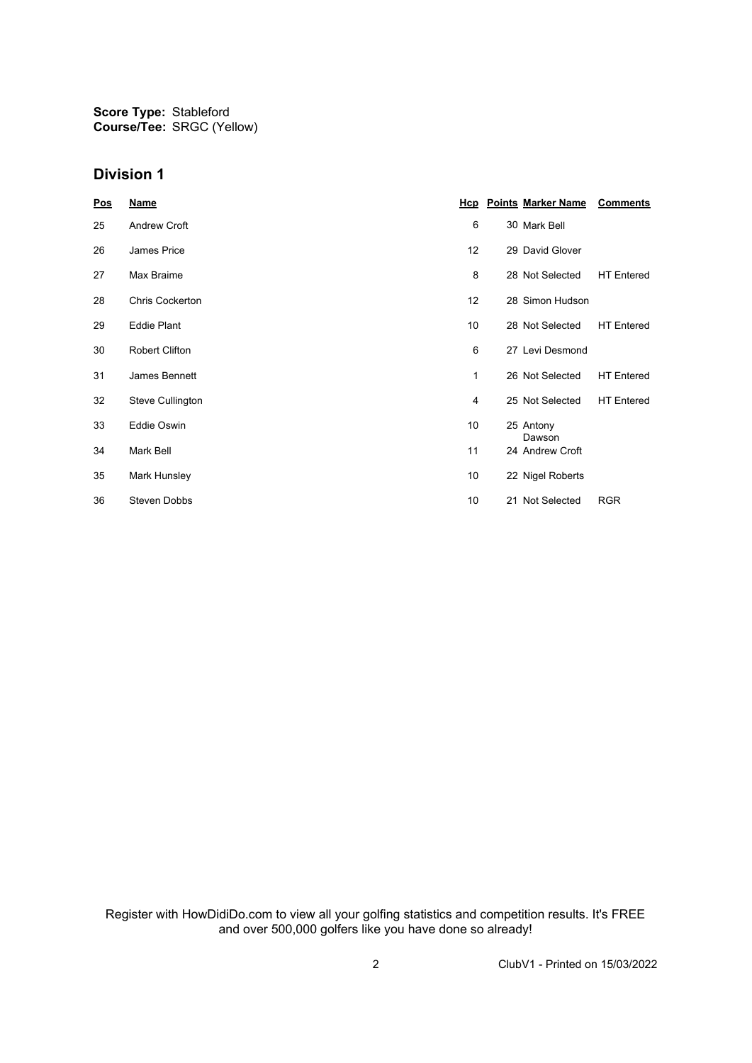**Score Type:** Stableford **Course/Tee:** SRGC (Yellow)

#### **Division 1**

| Pos | <b>Name</b>           |    | <b>Hcp</b> Points Marker Name | <b>Comments</b>   |
|-----|-----------------------|----|-------------------------------|-------------------|
| 25  | Andrew Croft          | 6  | 30 Mark Bell                  |                   |
| 26  | James Price           | 12 | 29 David Glover               |                   |
| 27  | Max Braime            | 8  | 28 Not Selected               | <b>HT</b> Entered |
| 28  | Chris Cockerton       | 12 | 28 Simon Hudson               |                   |
| 29  | <b>Eddie Plant</b>    | 10 | 28 Not Selected               | <b>HT</b> Entered |
| 30  | <b>Robert Clifton</b> | 6  | 27 Levi Desmond               |                   |
| 31  | James Bennett         | 1  | 26 Not Selected               | <b>HT</b> Entered |
| 32  | Steve Cullington      | 4  | 25 Not Selected               | <b>HT</b> Entered |
| 33  | Eddie Oswin           | 10 | 25 Antony<br>Dawson           |                   |
| 34  | Mark Bell             | 11 | 24 Andrew Croft               |                   |
| 35  | Mark Hunsley          | 10 | 22 Nigel Roberts              |                   |
| 36  | Steven Dobbs          | 10 | 21 Not Selected               | <b>RGR</b>        |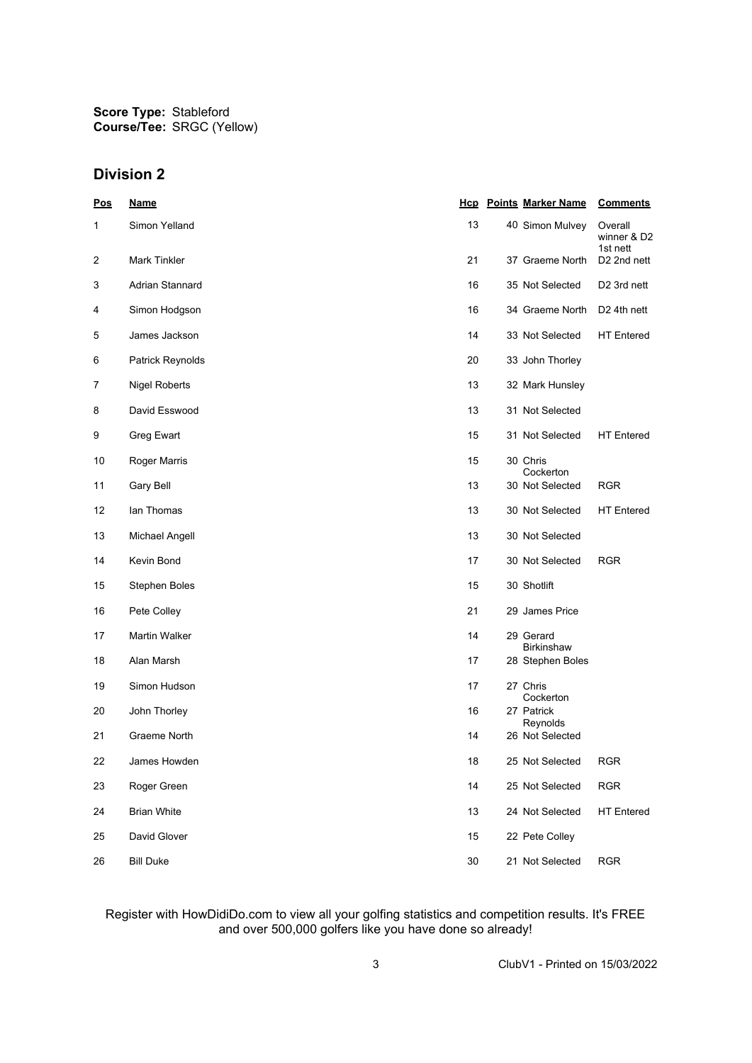**Score Type:** Stableford **Course/Tee:** SRGC (Yellow)

### **Division 2**

| <u>Pos</u>     | <b>Name</b>          | <u>Hcp</u> | <b>Points Marker Name</b>      | <b>Comments</b>                    |
|----------------|----------------------|------------|--------------------------------|------------------------------------|
| 1              | Simon Yelland        | 13         | 40 Simon Mulvey                | Overall<br>winner & D2<br>1st nett |
| $\overline{c}$ | <b>Mark Tinkler</b>  | 21         | 37 Graeme North                | D <sub>2</sub> 2nd nett            |
| 3              | Adrian Stannard      | 16         | 35 Not Selected                | D2 3rd nett                        |
| 4              | Simon Hodgson        | 16         | 34 Graeme North                | D <sub>2</sub> 4th nett            |
| 5              | James Jackson        | 14         | 33 Not Selected                | <b>HT</b> Entered                  |
| 6              | Patrick Reynolds     | 20         | 33 John Thorley                |                                    |
| 7              | <b>Nigel Roberts</b> | 13         | 32 Mark Hunsley                |                                    |
| 8              | David Esswood        | 13         | 31 Not Selected                |                                    |
| 9              | Greg Ewart           | 15         | 31 Not Selected                | <b>HT</b> Entered                  |
| 10             | Roger Marris         | 15         | 30 Chris<br>Cockerton          |                                    |
| 11             | <b>Gary Bell</b>     | 13         | 30 Not Selected                | <b>RGR</b>                         |
| 12             | lan Thomas           | 13         | 30 Not Selected                | <b>HT</b> Entered                  |
| 13             | Michael Angell       | 13         | 30 Not Selected                |                                    |
| 14             | Kevin Bond           | 17         | 30 Not Selected                | <b>RGR</b>                         |
| 15             | <b>Stephen Boles</b> | 15         | 30 Shotlift                    |                                    |
| 16             | Pete Colley          | 21         | 29 James Price                 |                                    |
| 17             | <b>Martin Walker</b> | 14         | 29 Gerard<br><b>Birkinshaw</b> |                                    |
| 18             | Alan Marsh           | 17         | 28 Stephen Boles               |                                    |
| 19             | Simon Hudson         | 17         | 27 Chris<br>Cockerton          |                                    |
| 20             | John Thorley         | 16         | 27 Patrick<br>Reynolds         |                                    |
| 21             | Graeme North         | 14         | 26 Not Selected                |                                    |
| 22             | James Howden         | 18         | 25 Not Selected                | <b>RGR</b>                         |
| 23             | Roger Green          | 14         | 25 Not Selected                | <b>RGR</b>                         |
| 24             | <b>Brian White</b>   | 13         | 24 Not Selected                | <b>HT Entered</b>                  |
| 25             | David Glover         | 15         | 22 Pete Colley                 |                                    |
| 26             | <b>Bill Duke</b>     | 30         | 21 Not Selected                | <b>RGR</b>                         |